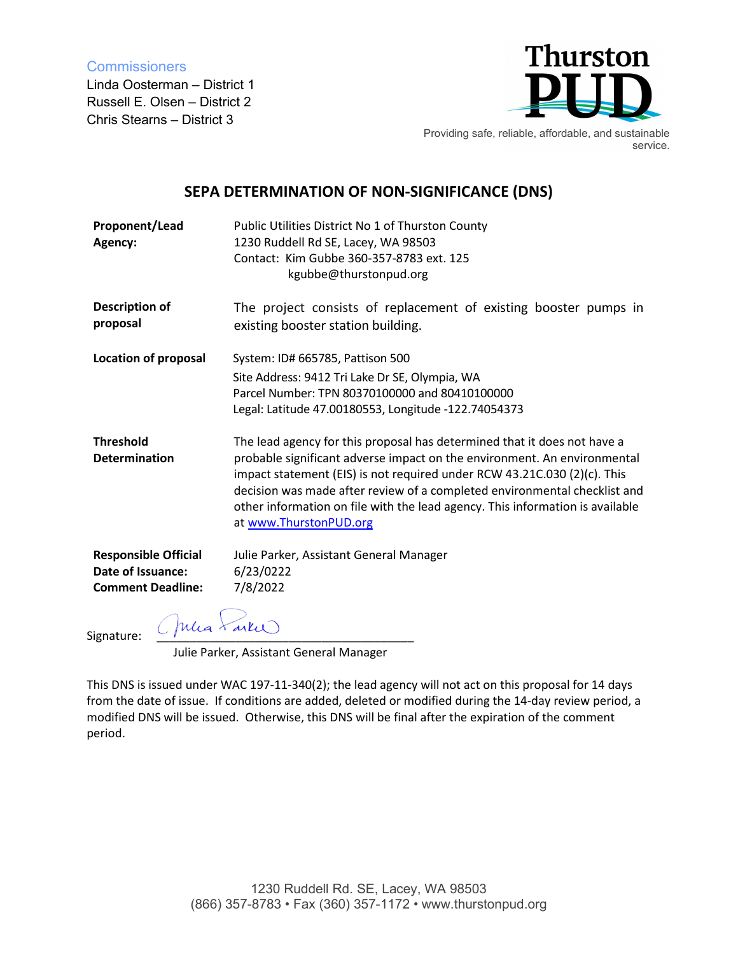**Commissioners** 

Linda Oosterman – District 1 Russell E. Olsen – District 2 Chris Stearns – District 3



Providing safe, reliable, affordable, and sustainable service.

## **SEPA DETERMINATION OF NON-SIGNIFICANCE (DNS)**

| Proponent/Lead<br>Agency:                                                    | Public Utilities District No 1 of Thurston County<br>1230 Ruddell Rd SE, Lacey, WA 98503<br>Contact: Kim Gubbe 360-357-8783 ext. 125<br>kgubbe@thurstonpud.org                                                                                                                                                                                                                                                           |
|------------------------------------------------------------------------------|--------------------------------------------------------------------------------------------------------------------------------------------------------------------------------------------------------------------------------------------------------------------------------------------------------------------------------------------------------------------------------------------------------------------------|
| <b>Description of</b><br>proposal                                            | The project consists of replacement of existing booster pumps in<br>existing booster station building.                                                                                                                                                                                                                                                                                                                   |
| <b>Location of proposal</b>                                                  | System: ID# 665785, Pattison 500                                                                                                                                                                                                                                                                                                                                                                                         |
|                                                                              | Site Address: 9412 Tri Lake Dr SE, Olympia, WA<br>Parcel Number: TPN 80370100000 and 80410100000<br>Legal: Latitude 47.00180553, Longitude -122.74054373                                                                                                                                                                                                                                                                 |
| <b>Threshold</b><br><b>Determination</b>                                     | The lead agency for this proposal has determined that it does not have a<br>probable significant adverse impact on the environment. An environmental<br>impact statement (EIS) is not required under RCW 43.21C.030 (2)(c). This<br>decision was made after review of a completed environmental checklist and<br>other information on file with the lead agency. This information is available<br>at www.ThurstonPUD.org |
| <b>Responsible Official</b><br>Date of Issuance:<br><b>Comment Deadline:</b> | Julie Parker, Assistant General Manager<br>6/23/0222<br>7/8/2022                                                                                                                                                                                                                                                                                                                                                         |
| (Julia Faire)<br>Signature:                                                  |                                                                                                                                                                                                                                                                                                                                                                                                                          |

Julie Parker, Assistant General Manager

This DNS is issued under WAC 197-11-340(2); the lead agency will not act on this proposal for 14 days from the date of issue. If conditions are added, deleted or modified during the 14-day review period, a modified DNS will be issued. Otherwise, this DNS will be final after the expiration of the comment period.